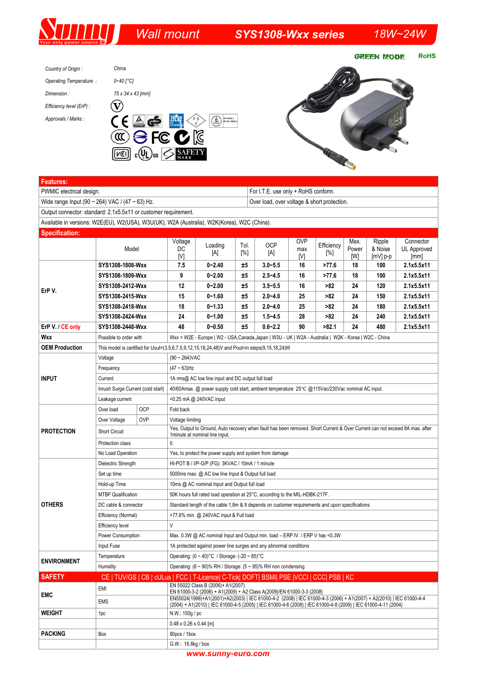## *Wall mount SYS1308-Wxx series 18W~24W*

**RoHS GREEN MODE** 





| Features:                                                                                      |                                                                                               |            |                                                                                                                                                                                              |            |      |             |            |            |              |                       |                     |
|------------------------------------------------------------------------------------------------|-----------------------------------------------------------------------------------------------|------------|----------------------------------------------------------------------------------------------------------------------------------------------------------------------------------------------|------------|------|-------------|------------|------------|--------------|-----------------------|---------------------|
| PWMIC electrical design.                                                                       | For I.T.E. use only + RoHS conform.                                                           |            |                                                                                                                                                                                              |            |      |             |            |            |              |                       |                     |
| Wide range Input (90 ~ 264) VAC / (47 ~ 63) Hz.<br>Over load, over voltage & short protection. |                                                                                               |            |                                                                                                                                                                                              |            |      |             |            |            |              |                       |                     |
| Output connector: standard: 2.1x5.5x11 or customer requirement.                                |                                                                                               |            |                                                                                                                                                                                              |            |      |             |            |            |              |                       |                     |
| Available in versions: W2E(EU), W2(USA), W3U(UK), W2A (Australia), W2K(Korea), W2C (China).    |                                                                                               |            |                                                                                                                                                                                              |            |      |             |            |            |              |                       |                     |
| <b>Specification:</b>                                                                          |                                                                                               |            |                                                                                                                                                                                              |            |      |             |            |            |              |                       |                     |
|                                                                                                | Model                                                                                         |            | Voltage                                                                                                                                                                                      | Loading    | Tol. | <b>OCP</b>  | <b>OVP</b> | Efficiency | Max.         | Ripple                | Connector           |
|                                                                                                |                                                                                               |            | DC<br>[V]                                                                                                                                                                                    | [A]        | [%]  | [A]         | max<br>[V] | [%]        | Power<br>[W] | & Noise<br>$[mV]$ p-p | UL Approved<br>[mm] |
| ErP V.                                                                                         | SYS1308-1808-Wxx                                                                              |            | 7.5                                                                                                                                                                                          | $0 - 2.40$ | ±5   | $3.0 - 5.5$ | 16         | >77.6      | 18           | 100                   | 2.1x5.5x11          |
|                                                                                                | SYS1308-1809-Wxx                                                                              |            | 9                                                                                                                                                                                            | $0 - 2.00$ | ±5   | $2.5 - 4.5$ | 16         | >77.6      | 18           | 100                   | 2.1x5.5x11          |
|                                                                                                | SYS1308-2412-Wxx                                                                              |            | 12                                                                                                                                                                                           | $0 - 2.00$ | ±5   | $3.5 - 5.5$ | 16         | >82        | 24           | 120                   | 2.1x5.5x11          |
|                                                                                                | SYS1308-2415-Wxx                                                                              |            | 15                                                                                                                                                                                           | $0 - 1.60$ | ±5   | $2.0 - 4.0$ | 25         | >82        | 24           | 150                   | 2.1x5.5x11          |
|                                                                                                | SYS1308-2418-Wxx                                                                              |            | 18                                                                                                                                                                                           | $0 - 1.33$ | ±5   | $2.0 - 4.0$ | 25         | >82        | 24           | 180                   | 2.1x5.5x11          |
|                                                                                                | SYS1308-2424-Wxx                                                                              |            | 24                                                                                                                                                                                           | $0 - 1.00$ | ±5   | $1.5 - 4.5$ | 28         | >82        | 24           | 240                   | 2.1x5.5x11          |
| ErP V. / CE only                                                                               | SYS1308-2448-Wxx                                                                              |            | 48                                                                                                                                                                                           | $0 - 0.50$ | ±5   | $0.6 - 2.2$ | 90         | >82.1      | 24           | 480                   | 2.1x5.5x11          |
| <b>Wxx</b>                                                                                     | Possible to order with                                                                        |            | Wxx = W2E - Europe   W2 - USA, Canada, Japan   W3U - UK   W2A - Australia   W2K - Korea   W2C - China                                                                                        |            |      |             |            |            |              |                       |                     |
| <b>OEM Production</b>                                                                          | This model is certified for Uout=(3,5,6,7.5,9,12,15,18,24,48) and Pout=in steps(9,15,18,24) W |            |                                                                                                                                                                                              |            |      |             |            |            |              |                       |                     |
| <b>INPUT</b>                                                                                   | Voltage                                                                                       |            | $(90 \sim 264)$ VAC                                                                                                                                                                          |            |      |             |            |            |              |                       |                     |
|                                                                                                | Frequency                                                                                     |            | $(47 - 63)$ Hz                                                                                                                                                                               |            |      |             |            |            |              |                       |                     |
|                                                                                                | Current                                                                                       |            | 1A rms@ AC low line input and DC output full load                                                                                                                                            |            |      |             |            |            |              |                       |                     |
|                                                                                                | Inrush Surge Current (cold start)                                                             |            | 40/60Amax. @ power supply cold start, ambient temperature 25°C @115Vac/230Vac nominal AC input.                                                                                              |            |      |             |            |            |              |                       |                     |
|                                                                                                | Leakage current                                                                               |            | <0.25 mA @ 240VAC input                                                                                                                                                                      |            |      |             |            |            |              |                       |                     |
| <b>PROTECTION</b>                                                                              | Over load                                                                                     | <b>OCP</b> | Fold back                                                                                                                                                                                    |            |      |             |            |            |              |                       |                     |
|                                                                                                | Over Voltage                                                                                  | <b>OVP</b> | Voltage limiting                                                                                                                                                                             |            |      |             |            |            |              |                       |                     |
|                                                                                                | <b>Short Circuit</b>                                                                          |            | Yes, Output to Ground, Auto recovery when fault has been removed. Short Current & Over Current can not exceed 8A max. after<br>1 minute at nominal line input.                               |            |      |             |            |            |              |                       |                     |
|                                                                                                | Protection class                                                                              |            | Ш.                                                                                                                                                                                           |            |      |             |            |            |              |                       |                     |
|                                                                                                | No Load Operation                                                                             |            | Yes, to protect the power supply and system from damage                                                                                                                                      |            |      |             |            |            |              |                       |                     |
| <b>OTHERS</b>                                                                                  | Dielectric Strength                                                                           |            | HI-POT B / I/P-O/P (FG): 3KVAC / 10mA / 1 minute                                                                                                                                             |            |      |             |            |            |              |                       |                     |
|                                                                                                | Set up time                                                                                   |            | 5000ms max. @ AC low line Input & Output full load                                                                                                                                           |            |      |             |            |            |              |                       |                     |
|                                                                                                | Hold-up Time                                                                                  |            | 10ms @ AC nominal Input and Output full load                                                                                                                                                 |            |      |             |            |            |              |                       |                     |
|                                                                                                | <b>MTBF Qualification</b>                                                                     |            | 50K hours full rated load operation at 25°C, according to the MIL-HDBK-217F.                                                                                                                 |            |      |             |            |            |              |                       |                     |
|                                                                                                | DC cable & connector                                                                          |            | Standard length of the cable 1,8m & It depends on customer requirements and upon specifications                                                                                              |            |      |             |            |            |              |                       |                     |
|                                                                                                | Efficiency (Normal)                                                                           |            | >77.6% min. @ 240VAC input & Full load                                                                                                                                                       |            |      |             |            |            |              |                       |                     |
|                                                                                                | <b>Efficiency level</b>                                                                       |            | V                                                                                                                                                                                            |            |      |             |            |            |              |                       |                     |
|                                                                                                | Power Consumption                                                                             |            | Max. 0.3W @ AC nominal Input and Output min. load - ERP IV. / ERP V has <0.3W                                                                                                                |            |      |             |            |            |              |                       |                     |
|                                                                                                | Input Fuse                                                                                    |            | 1A protected against power line surges and any abnormal conditions                                                                                                                           |            |      |             |            |            |              |                       |                     |
| <b>ENVIRONMENT</b>                                                                             | Temperature                                                                                   |            | Operating: $(0 \sim 40)$ °C / Storage: $(-20 \sim 85)$ °C                                                                                                                                    |            |      |             |            |            |              |                       |                     |
|                                                                                                | Humidity                                                                                      |            | Operating: $(8 \sim 90)$ % RH / Storage: $(5 \sim 95)$ % RH non condensing                                                                                                                   |            |      |             |            |            |              |                       |                     |
| <b>SAFETY</b>                                                                                  |                                                                                               |            | CE   TUV/GS   CB   cULus   FCC   T-Licence  C-Tick  DOFT  BSMI  PSE  VCCI   CCC  PSB   KC<br>EN 55022 Class B (2006)+ A1(2007)                                                               |            |      |             |            |            |              |                       |                     |
| <b>EMC</b>                                                                                     | EMI                                                                                           |            | EN 61000-3-2 (2006) + A1(2009) + A2 Class A(2009)/EN 61000-3-3 (2008)<br>EN55024(1998)+A1(2001)+A2(2003)   IEC 61000-4-2 (2008)   IEC 61000-4-3 (2006) + A1(2007) + A2(2010)   IEC 61000-4-4 |            |      |             |            |            |              |                       |                     |
|                                                                                                | <b>EMS</b>                                                                                    |            | (2004) + A1(2010)   IEC 61000-4-5 (2005)   IEC 61000-4-6 (2008)   IEC 61000-4-8 (2009)   IEC 61000-4-11 (2004)                                                                               |            |      |             |            |            |              |                       |                     |
| <b>WEIGHT</b>                                                                                  | 1pc                                                                                           |            | N.W.: 150g / pc                                                                                                                                                                              |            |      |             |            |            |              |                       |                     |
|                                                                                                |                                                                                               |            | $0.48 \times 0.26 \times 0.44$ [m]                                                                                                                                                           |            |      |             |            |            |              |                       |                     |
| <b>PACKING</b>                                                                                 | Box                                                                                           |            | 80pcs / 1box                                                                                                                                                                                 |            |      |             |            |            |              |                       |                     |
|                                                                                                |                                                                                               |            | G.W.: 16.8kg / box                                                                                                                                                                           |            |      |             |            |            |              |                       |                     |

*www.sunny-euro.com*